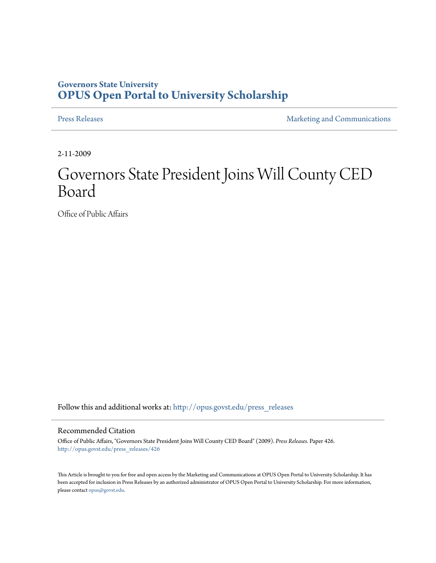## **Governors State University [OPUS Open Portal to University Scholarship](http://opus.govst.edu?utm_source=opus.govst.edu%2Fpress_releases%2F426&utm_medium=PDF&utm_campaign=PDFCoverPages)**

[Press Releases](http://opus.govst.edu/press_releases?utm_source=opus.govst.edu%2Fpress_releases%2F426&utm_medium=PDF&utm_campaign=PDFCoverPages) **[Marketing and Communications](http://opus.govst.edu/marketing_comm?utm_source=opus.govst.edu%2Fpress_releases%2F426&utm_medium=PDF&utm_campaign=PDFCoverPages)** 

2-11-2009

## Governors State President Joins Will County CED Board

Office of Public Affairs

Follow this and additional works at: [http://opus.govst.edu/press\\_releases](http://opus.govst.edu/press_releases?utm_source=opus.govst.edu%2Fpress_releases%2F426&utm_medium=PDF&utm_campaign=PDFCoverPages)

## Recommended Citation

Office of Public Affairs, "Governors State President Joins Will County CED Board" (2009). *Press Releases.* Paper 426. [http://opus.govst.edu/press\\_releases/426](http://opus.govst.edu/press_releases/426?utm_source=opus.govst.edu%2Fpress_releases%2F426&utm_medium=PDF&utm_campaign=PDFCoverPages)

This Article is brought to you for free and open access by the Marketing and Communications at OPUS Open Portal to University Scholarship. It has been accepted for inclusion in Press Releases by an authorized administrator of OPUS Open Portal to University Scholarship. For more information, please contact [opus@govst.edu](mailto:opus@govst.edu).